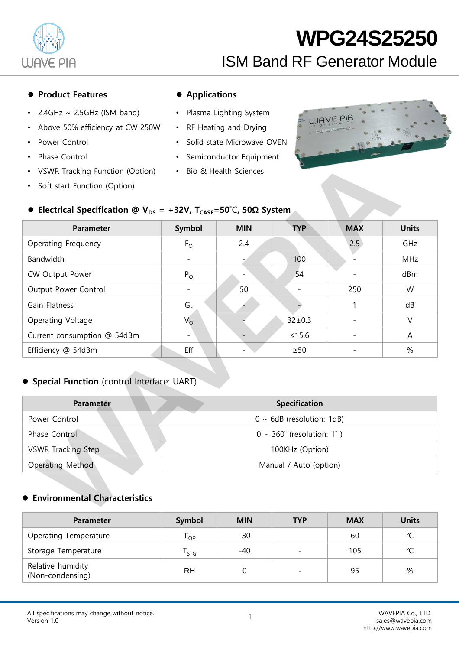

#### ● Product Features ● Applications

- $2.4$ GHz ~ 2.5GHz (ISM band)
- Above 50% efficiency at CW 250W
- Power Control
- Phase Control
- VSWR Tracking Function (Option)
- Soft start Function (Option)

- Plasma Lighting System
- RF Heating and Drying
- Solid state Microwave OVEN
- Semiconductor Equipment
- Bio & Health Sciences



### ⚫ **Electrical Specification @ VDS = +32V, TCASE=50**˚C**, 50Ω System**

| <b>Parameter</b>            | Symbol      | <b>MIN</b> | <b>TYP</b>   | <b>MAX</b> | <b>Units</b> |
|-----------------------------|-------------|------------|--------------|------------|--------------|
| Operating Frequency         | $F_{\rm O}$ | 2.4        |              | 2.5        | GHz          |
| <b>Bandwidth</b>            |             |            | 100          |            | <b>MHz</b>   |
| CW Output Power             | $P_{O}$     |            | 54           |            | dBm          |
| Output Power Control        |             | 50         |              | 250        | W            |
| Gain Flatness               | $G_F$       |            |              |            | dB           |
| Operating Voltage           | $V_{\rm O}$ |            | $32 \pm 0.3$ |            | V            |
| Current consumption @ 54dBm |             |            | $≤15.6$      |            | A            |
| Efficiency @ 54dBm          | Eff         |            | $\geq 50$    |            | %            |

#### ⚫ **Special Function** (control Interface: UART)

| <b>Parameter</b>          | <b>Specification</b>                  |
|---------------------------|---------------------------------------|
| Power Control             | $0 \sim 6$ dB (resolution: 1dB)       |
| Phase Control             | $0 \sim 360^{\circ}$ (resolution: 1°) |
| <b>VSWR Tracking Step</b> | 100KHz (Option)                       |
| Operating Method          | Manual / Auto (option)                |

#### ⚫ **Environmental Characteristics**

| <b>Parameter</b>                      | Symbol                     | <b>MIN</b> | <b>TYP</b>               | <b>MAX</b> | <b>Units</b>  |
|---------------------------------------|----------------------------|------------|--------------------------|------------|---------------|
| Operating Temperature                 | $\mathsf{T}_{\mathsf{OP}}$ | -30        | $\overline{\phantom{a}}$ | 60         | $\mathcal{C}$ |
| Storage Temperature                   | l stg                      | $-40$      | $\overline{\phantom{0}}$ | 105        | $\sim$        |
| Relative humidity<br>(Non-condensing) | RH                         |            |                          | 95         | %             |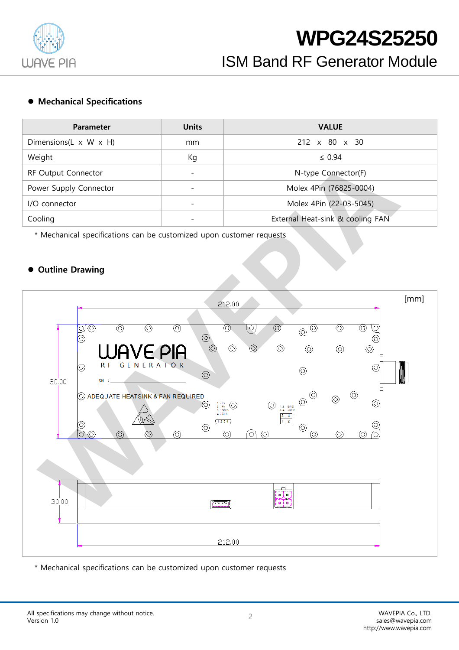

#### ⚫ **Mechanical Specifications**

| <b>Parameter</b>                    | <b>Units</b>             | <b>VALUE</b>                     |
|-------------------------------------|--------------------------|----------------------------------|
| Dimensions(L $\times$ W $\times$ H) | mm                       | $212 \times 80 \times 30$        |
| Weight                              | Кg                       | $\leq 0.94$                      |
| RF Output Connector                 | $\overline{\phantom{0}}$ | N-type Connector(F)              |
| Power Supply Connector              |                          | Molex 4Pin (76825-0004)          |
| I/O connector                       | $\overline{\phantom{0}}$ | Molex 4Pin (22-03-5045)          |
| Cooling                             |                          | External Heat-sink & cooling FAN |

\* Mechanical specifications can be customized upon customer requests

#### ⚫ **Outline Drawing**



\* Mechanical specifications can be customized upon customer requests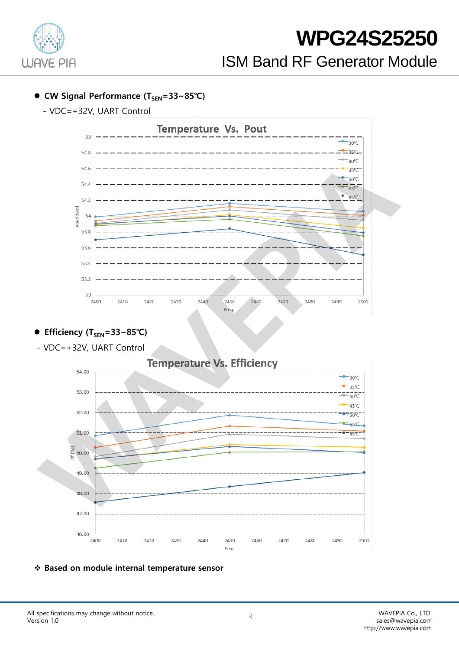

- ⚫ **CW Signal Performance (TSEN=33~85℃)** 
	- VDC=+32V, UART Control



### ⚫ **Efficiency (TSEN=33~85℃)**

- VDC=+32V, UART Control



#### ❖ **Based on module internal temperature sensor**